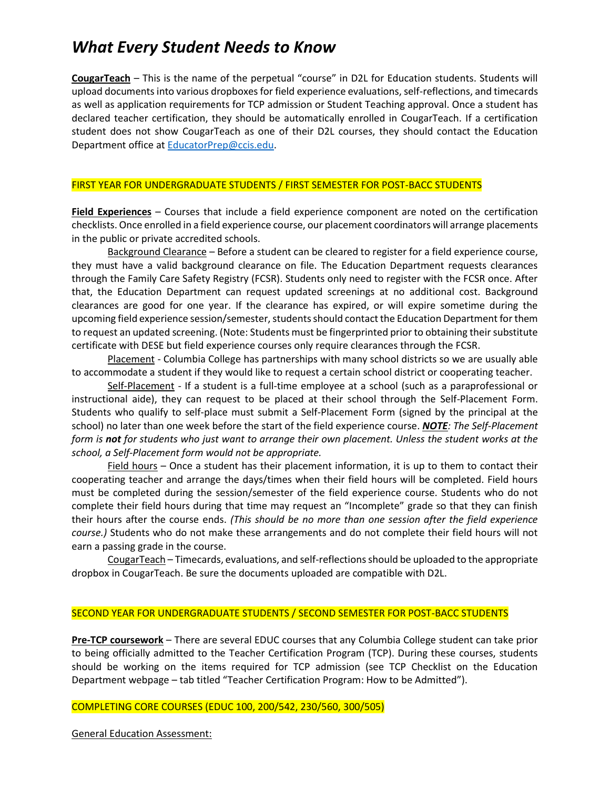# *What Every Student Needs to Know*

**CougarTeach** – This is the name of the perpetual "course" in D2L for Education students. Students will upload documents into various dropboxes for field experience evaluations, self-reflections, and timecards as well as application requirements for TCP admission or Student Teaching approval. Once a student has declared teacher certification, they should be automatically enrolled in CougarTeach. If a certification student does not show CougarTeach as one of their D2L courses, they should contact the Education Department office at [EducatorPrep@ccis.edu.](mailto:EducatorPrep@ccis.edu)

#### FIRST YEAR FOR UNDERGRADUATE STUDENTS / FIRST SEMESTER FOR POST-BACC STUDENTS

**Field Experiences** – Courses that include a field experience component are noted on the certification checklists. Once enrolled in a field experience course, our placement coordinators will arrange placements in the public or private accredited schools.

Background Clearance – Before a student can be cleared to register for a field experience course, they must have a valid background clearance on file. The Education Department requests clearances through the Family Care Safety Registry (FCSR). Students only need to register with the FCSR once. After that, the Education Department can request updated screenings at no additional cost. Background clearances are good for one year. If the clearance has expired, or will expire sometime during the upcoming field experience session/semester, students should contact the Education Department for them to request an updated screening. (Note: Students must be fingerprinted prior to obtaining their substitute certificate with DESE but field experience courses only require clearances through the FCSR.

Placement - Columbia College has partnerships with many school districts so we are usually able to accommodate a student if they would like to request a certain school district or cooperating teacher.

Self-Placement - If a student is a full-time employee at a school (such as a paraprofessional or instructional aide), they can request to be placed at their school through the Self-Placement Form. Students who qualify to self-place must submit a Self-Placement Form (signed by the principal at the school) no later than one week before the start of the field experience course. *NOTE: The Self-Placement form is not for students who just want to arrange their own placement. Unless the student works at the school, a Self-Placement form would not be appropriate.* 

Field hours - Once a student has their placement information, it is up to them to contact their cooperating teacher and arrange the days/times when their field hours will be completed. Field hours must be completed during the session/semester of the field experience course. Students who do not complete their field hours during that time may request an "Incomplete" grade so that they can finish their hours after the course ends. *(This should be no more than one session after the field experience course.)* Students who do not make these arrangements and do not complete their field hours will not earn a passing grade in the course.

CougarTeach – Timecards, evaluations, and self-reflections should be uploaded to the appropriate dropbox in CougarTeach. Be sure the documents uploaded are compatible with D2L.

#### SECOND YEAR FOR UNDERGRADUATE STUDENTS / SECOND SEMESTER FOR POST-BACC STUDENTS

**Pre-TCP coursework** – There are several EDUC courses that any Columbia College student can take prior to being officially admitted to the Teacher Certification Program (TCP). During these courses, students should be working on the items required for TCP admission (see TCP Checklist on the Education Department webpage – tab titled "Teacher Certification Program: How to be Admitted").

### COMPLETING CORE COURSES (EDUC 100, 200/542, 230/560, 300/505)

General Education Assessment: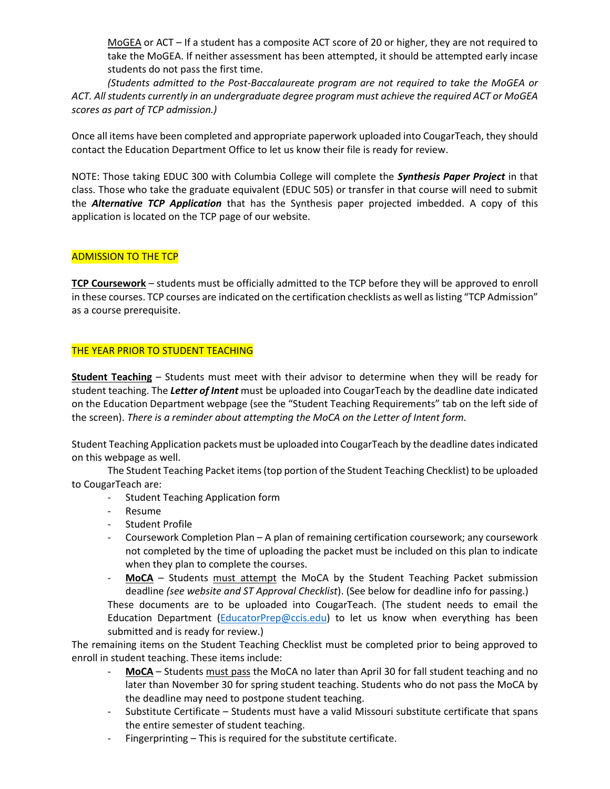MoGEA or ACT – If a student has a composite ACT score of 20 or higher, they are not required to take the MoGEA. If neither assessment has been attempted, it should be attempted early incase students do not pass the first time.

*(Students admitted to the Post-Baccalaureate program are not required to take the MoGEA or ACT. All students currently in an undergraduate degree program must achieve the required ACT or MoGEA scores as part of TCP admission.)*

Once all items have been completed and appropriate paperwork uploaded into CougarTeach, they should contact the Education Department Office to let us know their file is ready for review.

NOTE: Those taking EDUC 300 with Columbia College will complete the *Synthesis Paper Project* in that class. Those who take the graduate equivalent (EDUC 505) or transfer in that course will need to submit the *Alternative TCP Application* that has the Synthesis paper projected imbedded. A copy of this application is located on the TCP page of our website.

# ADMISSION TO THE TCP

**TCP Coursework** – students must be officially admitted to the TCP before they will be approved to enroll in these courses. TCP courses are indicated on the certification checklists as well as listing "TCP Admission" as a course prerequisite.

# THE YEAR PRIOR TO STUDENT TEACHING

**Student Teaching** – Students must meet with their advisor to determine when they will be ready for student teaching. The *Letter of Intent* must be uploaded into CougarTeach by the deadline date indicated on the Education Department webpage (see the "Student Teaching Requirements" tab on the left side of the screen). *There is a reminder about attempting the MoCA on the Letter of Intent form.*

Student Teaching Application packets must be uploaded into CougarTeach by the deadline dates indicated on this webpage as well.

The Student Teaching Packet items (top portion of the Student Teaching Checklist) to be uploaded to CougarTeach are:

- Student Teaching Application form
- Resume
- Student Profile
- Coursework Completion Plan A plan of remaining certification coursework; any coursework not completed by the time of uploading the packet must be included on this plan to indicate when they plan to complete the courses.
- MoCA Students must attempt the MoCA by the Student Teaching Packet submission deadline *(see website and ST Approval Checklist*). (See below for deadline info for passing.)

These documents are to be uploaded into CougarTeach. (The student needs to email the Education Department [\(EducatorPrep@ccis.edu\)](mailto:EducatorPrep@ccis.edu) to let us know when everything has been submitted and is ready for review.)

The remaining items on the Student Teaching Checklist must be completed prior to being approved to enroll in student teaching. These items include:

- MoCA Students must pass the MoCA no later than April 30 for fall student teaching and no later than November 30 for spring student teaching. Students who do not pass the MoCA by the deadline may need to postpone student teaching.
- Substitute Certificate Students must have a valid Missouri substitute certificate that spans the entire semester of student teaching.
- Fingerprinting This is required for the substitute certificate.